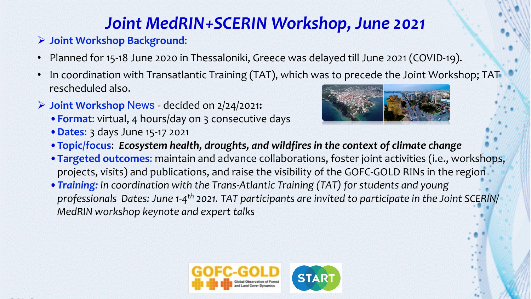## Joint MedRIN+SCERIN Workshop, June 2021

## Ø **Joint Workshop Background**:

- Planned for 15-18 June 2020 in Thessaloniki, Greece was delayed till June 2021 (COVID-19).
- In coordination with Transatlantic Training (TAT), which was to precede the Joint Workshop; TAT rescheduled also.
- **▷ Joint Workshop News** decided on 2/24/2021:
	- Format: virtual, 4 hours/day on 3 consecutive days
	- **Dates:** 3 days June 15-17 2021



- Topic/focus: Ecosystem health, droughts, and wildfires in the context of climate change
- Targeted outcomes: maintain and advance collaborations, foster joint activities (i.e., workshops, projects, visits) and publications, and raise the visibility of the GOFC-GOLD RINs in the region.
- **Training:** In coordination with the Trans-Atlantic Training (TAT) for students and young *professionals Dates: June 1-4<sup>th</sup> 2021. TAT participants are invited to participate in the Joint SCERIN*/ *MedRIN* workshop keynote and expert talks